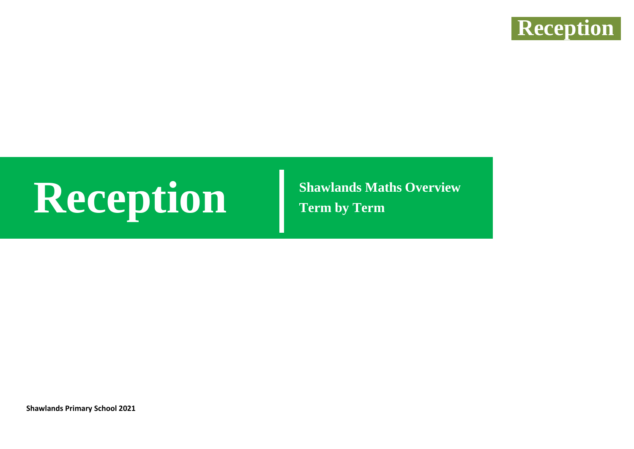

# **Reception Shawlands Maths Overview**

**Term by Term**

**Shawlands Primary School 2021**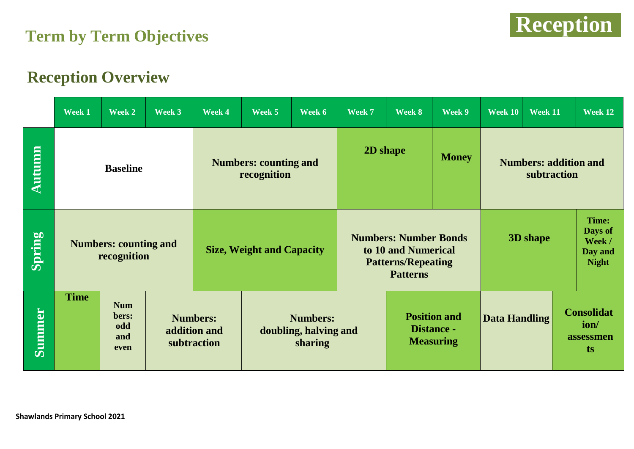



#### **Reception Overview**

|               | Week 1                                      | Week 2                                    | Week 3 | Week 4                                         | Week 5                                              | Week 6 | Week 7                                                                                              | Week 8                                                | Week 9       | Week 10                                                           | Week $11$ | Week 12                                      |
|---------------|---------------------------------------------|-------------------------------------------|--------|------------------------------------------------|-----------------------------------------------------|--------|-----------------------------------------------------------------------------------------------------|-------------------------------------------------------|--------------|-------------------------------------------------------------------|-----------|----------------------------------------------|
| Autumn        | <b>Baseline</b>                             |                                           |        | <b>Numbers: counting and</b><br>recognition    |                                                     |        | 2D shape                                                                                            |                                                       | <b>Money</b> | <b>Numbers: addition and</b><br>subtraction                       |           |                                              |
| Spring        | <b>Numbers: counting and</b><br>recognition |                                           |        | <b>Size, Weight and Capacity</b>               |                                                     |        | <b>Numbers: Number Bonds</b><br>to 10 and Numerical<br><b>Patterns/Repeating</b><br><b>Patterns</b> |                                                       |              | Time:<br>Days of<br>3D shape<br>Week /<br>Day and<br><b>Night</b> |           |                                              |
| <b>Summer</b> | <b>Time</b>                                 | <b>Num</b><br>bers:<br>odd<br>and<br>even |        | <b>Numbers:</b><br>addition and<br>subtraction | <b>Numbers:</b><br>doubling, halving and<br>sharing |        |                                                                                                     | <b>Position and</b><br>Distance -<br><b>Measuring</b> |              | <b>Data Handling</b>                                              |           | <b>Consolidat</b><br>ion/<br>assessmen<br>ts |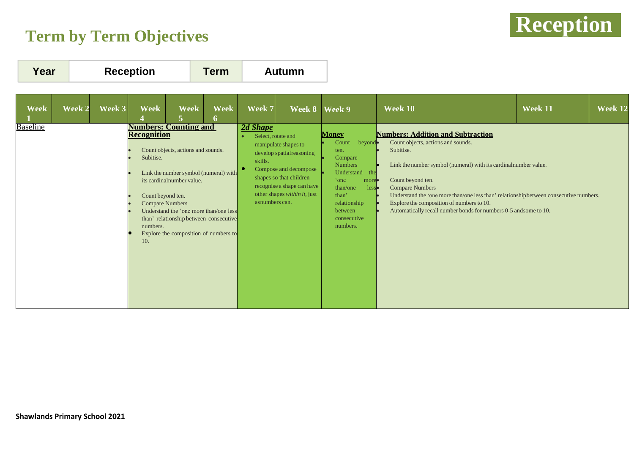### **Reception Term by Term Objectives**



| Year<br><b>Reception</b><br><b>Autumn</b><br>Term                                                                                                                                                                                                                                                                                                                                                                                                                                                                                                                                                                                                                                                                                                                                                                                                                                                                                                                                                                                                                                                                                                                                                                                                                                                                                                                                                    |                |
|------------------------------------------------------------------------------------------------------------------------------------------------------------------------------------------------------------------------------------------------------------------------------------------------------------------------------------------------------------------------------------------------------------------------------------------------------------------------------------------------------------------------------------------------------------------------------------------------------------------------------------------------------------------------------------------------------------------------------------------------------------------------------------------------------------------------------------------------------------------------------------------------------------------------------------------------------------------------------------------------------------------------------------------------------------------------------------------------------------------------------------------------------------------------------------------------------------------------------------------------------------------------------------------------------------------------------------------------------------------------------------------------------|----------------|
| <b>Week</b><br>Week 2<br>Week 3<br><b>Week</b><br><b>Week</b><br><b>Week</b><br>Week 7<br>Week 10<br>Week 8   Week 9<br>Week 11<br><b>Numbers: Counting and</b><br><b>Baseline</b><br>2d Shape<br><b>Numbers: Addition and Subtraction</b><br><b>Money</b><br><b>Recognition</b><br>Select, rotate and<br>Count<br>beyond.<br>Count objects, actions and sounds.<br>manipulate shapes to<br>Count objects, actions and sounds.<br>Subitise.<br>ten.<br>develop spatial reasoning<br>Compare<br>Subitise.<br>skills.<br><b>Numbers</b><br>Link the number symbol (numeral) with its cardinal number value.<br>Compose and decompose<br>Understand the<br>Link the number symbol (numeral) with<br>shapes so that children<br>Count beyond ten.<br>its cardinal number value.<br>'one<br>more.<br>recognise a shape can have<br>than/one<br><b>Compare Numbers</b><br>less•<br>other shapes within it, just<br>than'<br>Understand the 'one more than/one less than' relationshipbetween consecutive numbers.<br>Count beyond ten.<br>asnumbers can.<br>Explore the composition of numbers to 10.<br><b>Compare Numbers</b><br>relationship<br>Understand the 'one more than/one less<br>Automatically recall number bonds for numbers 0-5 and some to 10.<br>between<br>than' relationship between consecutive<br>consecutive<br>numbers.<br>numbers.<br>Explore the composition of numbers to<br>10. | <b>Week 12</b> |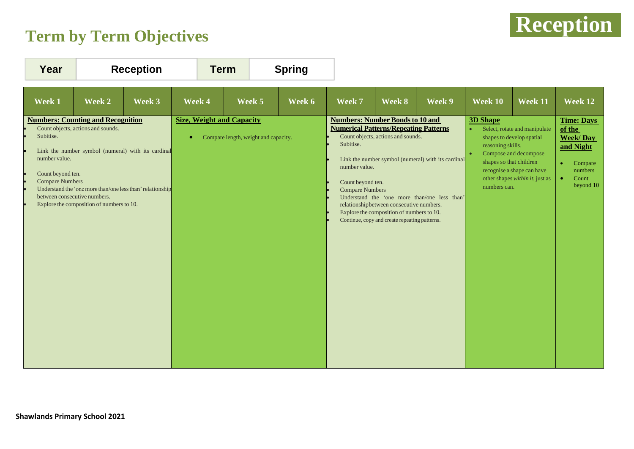### **Reception Term by Term Objectives**



| Year                                                                                                                                                  | <b>Reception</b>                                                                                                                                                                                   |        | <b>Term</b>                                   |                                      | <b>Spring</b> |                                                                                                                                                                     |                                                                                                                                                                              |                                                                                                    |                                                                                 |                                                                                                                                                      |                                                                                                                                   |
|-------------------------------------------------------------------------------------------------------------------------------------------------------|----------------------------------------------------------------------------------------------------------------------------------------------------------------------------------------------------|--------|-----------------------------------------------|--------------------------------------|---------------|---------------------------------------------------------------------------------------------------------------------------------------------------------------------|------------------------------------------------------------------------------------------------------------------------------------------------------------------------------|----------------------------------------------------------------------------------------------------|---------------------------------------------------------------------------------|------------------------------------------------------------------------------------------------------------------------------------------------------|-----------------------------------------------------------------------------------------------------------------------------------|
| Week 1                                                                                                                                                | Week 2                                                                                                                                                                                             | Week 3 | Week 4                                        | Week 5                               | Week 6        | Week 7                                                                                                                                                              | Week 8                                                                                                                                                                       | Week 9                                                                                             | Week 10                                                                         | Week 11                                                                                                                                              | Week 12                                                                                                                           |
| <b>Numbers: Counting and Recognition</b><br>Subitise.<br>number value.<br>Count beyond ten.<br><b>Compare Numbers</b><br>between consecutive numbers. | Count objects, actions and sounds.<br>Link the number symbol (numeral) with its cardinal<br>Understand the 'one more than/one less than' relationship<br>Explore the composition of numbers to 10. |        | <b>Size, Weight and Capacity</b><br>$\bullet$ | Compare length, weight and capacity. |               | <b>Numbers: Number Bonds to 10 and</b><br><b>Numerical Patterns/Repeating Patterns</b><br>Subitise.<br>number value.<br>Count beyond ten.<br><b>Compare Numbers</b> | Count objects, actions and sounds.<br>relationshipbetween consecutive numbers.<br>Explore the composition of numbers to 10.<br>Continue, copy and create repeating patterns. | Link the number symbol (numeral) with its cardinal<br>Understand the 'one more than/one less than' | <b>3D Shape</b><br>reasoning skills.<br>shapes so that children<br>numbers can. | Select, rotate and manipulate<br>shapes to develop spatial<br>Compose and decompose<br>recognise a shape can have<br>other shapes within it, just as | <b>Time: Days</b><br>of the<br><b>Week/Day</b><br>and Night<br>Compare<br>$\bullet$<br>numbers<br>Count<br>$\bullet$<br>beyond 10 |